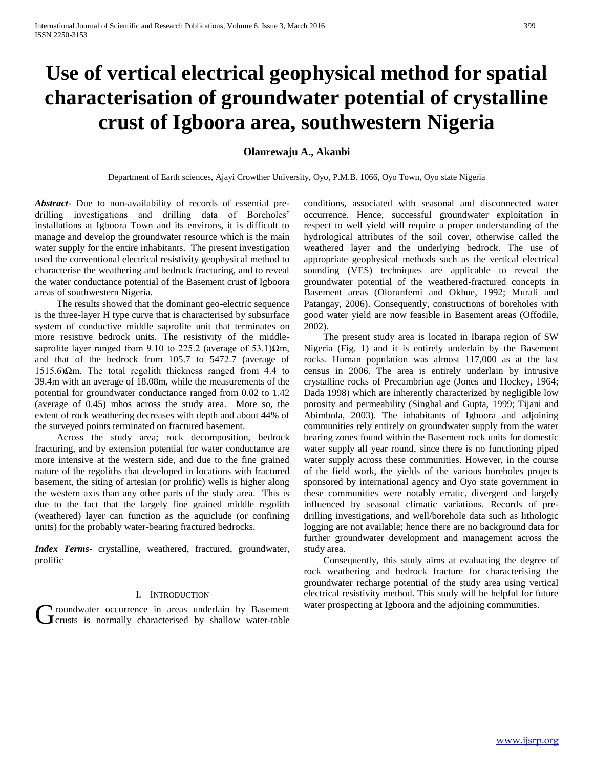# **Use of vertical electrical geophysical method for spatial characterisation of groundwater potential of crystalline crust of Igboora area, southwestern Nigeria**

# **Olanrewaju A., Akanbi**

Department of Earth sciences, Ajayi Crowther University, Oyo, P.M.B. 1066, Oyo Town, Oyo state Nigeria

*Abstract***-** Due to non-availability of records of essential predrilling investigations and drilling data of Boreholes' installations at Igboora Town and its environs, it is difficult to manage and develop the groundwater resource which is the main water supply for the entire inhabitants. The present investigation used the conventional electrical resistivity geophysical method to characterise the weathering and bedrock fracturing, and to reveal the water conductance potential of the Basement crust of Igboora areas of southwestern Nigeria.

 The results showed that the dominant geo-electric sequence is the three-layer H type curve that is characterised by subsurface system of conductive middle saprolite unit that terminates on more resistive bedrock units. The resistivity of the middlesaprolite layer ranged from 9.10 to 225.2 (average of 53.1) $\Omega$ m, and that of the bedrock from 105.7 to 5472.7 (average of 1515.6)Ωm. The total regolith thickness ranged from 4.4 to 39.4m with an average of 18.08m, while the measurements of the potential for groundwater conductance ranged from 0.02 to 1.42 (average of 0.45) mhos across the study area. More so, the extent of rock weathering decreases with depth and about 44% of the surveyed points terminated on fractured basement.

 Across the study area; rock decomposition, bedrock fracturing, and by extension potential for water conductance are more intensive at the western side, and due to the fine grained nature of the regoliths that developed in locations with fractured basement, the siting of artesian (or prolific) wells is higher along the western axis than any other parts of the study area. This is due to the fact that the largely fine grained middle regolith (weathered) layer can function as the aquiclude (or confining units) for the probably water-bearing fractured bedrocks.

*Index Terms*- crystalline, weathered, fractured, groundwater, prolific

#### I. INTRODUCTION

roundwater occurrence in areas underlain by Basement Groundwater occurrence in areas underlain by Basement water prospecting at Igboora and the adjoining communities.<br>Grusts is normally characterised by shallow water-table

conditions, associated with seasonal and disconnected water occurrence. Hence, successful groundwater exploitation in respect to well yield will require a proper understanding of the hydrological attributes of the soil cover, otherwise called the weathered layer and the underlying bedrock. The use of appropriate geophysical methods such as the vertical electrical sounding (VES) techniques are applicable to reveal the groundwater potential of the weathered-fractured concepts in Basement areas (Olorunfemi and Okhue, 1992; Murali and Patangay, 2006). Consequently, constructions of boreholes with good water yield are now feasible in Basement areas (Offodile, 2002).

 The present study area is located in Ibarapa region of SW Nigeria (Fig. 1) and it is entirely underlain by the Basement rocks. Human population was almost 117,000 as at the last census in 2006. The area is entirely underlain by intrusive crystalline rocks of Precambrian age (Jones and Hockey, 1964; Dada 1998) which are inherently characterized by negligible low porosity and permeability (Singhal and Gupta, 1999; Tijani and Abimbola, 2003). The inhabitants of Igboora and adjoining communities rely entirely on groundwater supply from the water bearing zones found within the Basement rock units for domestic water supply all year round, since there is no functioning piped water supply across these communities. However, in the course of the field work, the yields of the various boreholes projects sponsored by international agency and Oyo state government in these communities were notably erratic, divergent and largely influenced by seasonal climatic variations. Records of predrilling investigations, and well/borehole data such as lithologic logging are not available; hence there are no background data for further groundwater development and management across the study area.

 Consequently, this study aims at evaluating the degree of rock weathering and bedrock fracture for characterising the groundwater recharge potential of the study area using vertical electrical resistivity method. This study will be helpful for future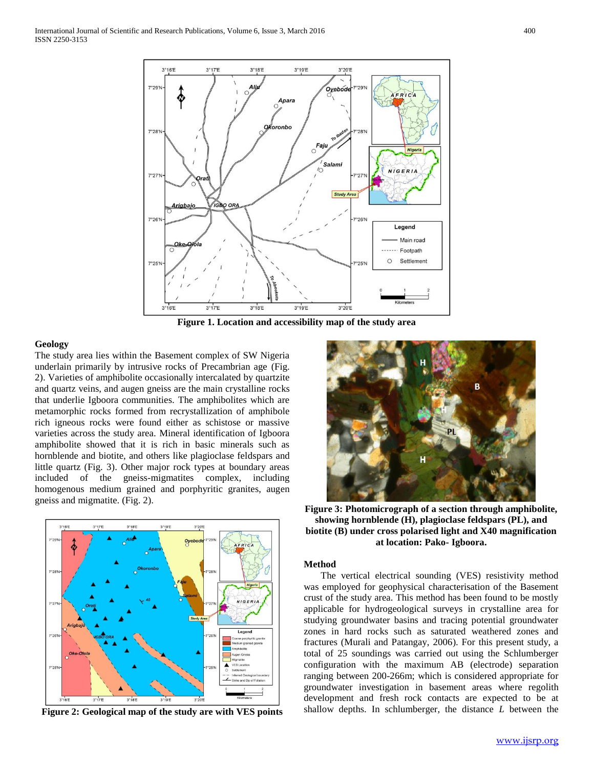

**Figure 1. Location and accessibility map of the study area**

#### **Geology**

The study area lies within the Basement complex of SW Nigeria underlain primarily by intrusive rocks of Precambrian age (Fig. 2). Varieties of amphibolite occasionally intercalated by quartzite and quartz veins, and augen gneiss are the main crystalline rocks that underlie Igboora communities. The amphibolites which are metamorphic rocks formed from recrystallization of amphibole rich igneous rocks were found either as schistose or massive varieties across the study area. Mineral identification of Igboora amphibolite showed that it is rich in basic minerals such as hornblende and biotite, and others like plagioclase feldspars and little quartz (Fig. 3). Other major rock types at boundary areas included of the gneiss-migmatites complex, including homogenous medium grained and porphyritic granites, augen gneiss and migmatite. (Fig. 2).



**Figure 2: Geological map of the study are with VES points**



**Figure 3: Photomicrograph of a section through amphibolite, showing hornblende (H), plagioclase feldspars (PL), and biotite (B) under cross polarised light and X40 magnification at location: Pako- Igboora.**

## **Method**

 The vertical electrical sounding (VES) resistivity method was employed for geophysical characterisation of the Basement crust of the study area. This method has been found to be mostly applicable for hydrogeological surveys in crystalline area for studying groundwater basins and tracing potential groundwater zones in hard rocks such as saturated weathered zones and fractures (Murali and Patangay, 2006). For this present study, a total of 25 soundings was carried out using the Schlumberger configuration with the maximum AB (electrode) separation ranging between 200-266m; which is considered appropriate for groundwater investigation in basement areas where regolith development and fresh rock contacts are expected to be at shallow depths. In schlumberger, the distance *L* between the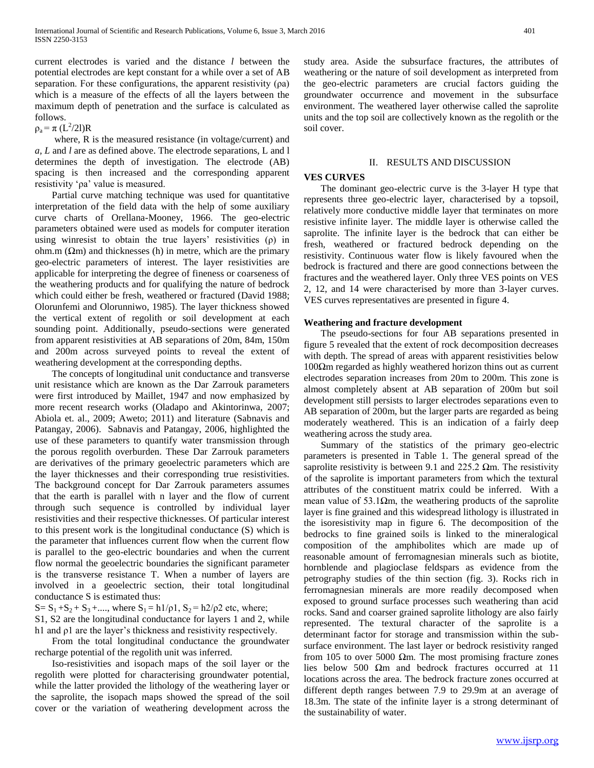current electrodes is varied and the distance *l* between the potential electrodes are kept constant for a while over a set of AB separation. For these configurations, the apparent resistivity (ρa) which is a measure of the effects of all the layers between the maximum depth of penetration and the surface is calculated as follows.

 $\rho_a = \pi (L^2/2l)R$ 

 where, R is the measured resistance (in voltage/current) and *a, L* and *l* are as defined above. The electrode separations, L and l determines the depth of investigation. The electrode (AB) spacing is then increased and the corresponding apparent resistivity 'ρa' value is measured.

 Partial curve matching technique was used for quantitative interpretation of the field data with the help of some auxiliary curve charts of Orellana-Mooney, 1966. The geo-electric parameters obtained were used as models for computer iteration using winresist to obtain the true layers' resistivities  $(\rho)$  in ohm.m  $(\Omega m)$  and thicknesses (h) in metre, which are the primary geo-electric parameters of interest. The layer resistivities are applicable for interpreting the degree of fineness or coarseness of the weathering products and for qualifying the nature of bedrock which could either be fresh, weathered or fractured (David 1988; Olorunfemi and Olorunniwo, 1985). The layer thickness showed the vertical extent of regolith or soil development at each sounding point. Additionally, pseudo-sections were generated from apparent resistivities at AB separations of 20m, 84m, 150m and 200m across surveyed points to reveal the extent of weathering development at the corresponding depths.

 The concepts of longitudinal unit conductance and transverse unit resistance which are known as the Dar Zarrouk parameters were first introduced by Maillet, 1947 and now emphasized by more recent research works (Oladapo and Akintorinwa, 2007; Abiola et. al., 2009; Aweto; 2011) and literature (Sabnavis and Patangay, 2006). Sabnavis and Patangay, 2006, highlighted the use of these parameters to quantify water transmission through the porous regolith overburden. These Dar Zarrouk parameters are derivatives of the primary geoelectric parameters which are the layer thicknesses and their corresponding true resistivities. The background concept for Dar Zarrouk parameters assumes that the earth is parallel with n layer and the flow of current through such sequence is controlled by individual layer resistivities and their respective thicknesses. Of particular interest to this present work is the longitudinal conductance (S) which is the parameter that influences current flow when the current flow is parallel to the geo-electric boundaries and when the current flow normal the geoelectric boundaries the significant parameter is the transverse resistance T. When a number of layers are involved in a geoelectric section, their total longitudinal conductance S is estimated thus:

S=  $S_1 + S_2 + S_3 + \dots$ , where  $S_1 = h1/\rho1$ ,  $S_2 = h2/\rho2$  etc, where;

S1, S2 are the longitudinal conductance for layers 1 and 2, while h1 and ρ1 are the layer's thickness and resistivity respectively.

 From the total longitudinal conductance the groundwater recharge potential of the regolith unit was inferred.

 Iso-resistivities and isopach maps of the soil layer or the regolith were plotted for characterising groundwater potential, while the latter provided the lithology of the weathering layer or the saprolite, the isopach maps showed the spread of the soil cover or the variation of weathering development across the

study area. Aside the subsurface fractures, the attributes of weathering or the nature of soil development as interpreted from the geo-electric parameters are crucial factors guiding the groundwater occurrence and movement in the subsurface environment. The weathered layer otherwise called the saprolite units and the top soil are collectively known as the regolith or the soil cover.

## II. RESULTS AND DISCUSSION

### **VES CURVES**

 The dominant geo-electric curve is the 3-layer H type that represents three geo-electric layer, characterised by a topsoil, relatively more conductive middle layer that terminates on more resistive infinite layer. The middle layer is otherwise called the saprolite. The infinite layer is the bedrock that can either be fresh, weathered or fractured bedrock depending on the resistivity. Continuous water flow is likely favoured when the bedrock is fractured and there are good connections between the fractures and the weathered layer. Only three VES points on VES 2, 12, and 14 were characterised by more than 3-layer curves. VES curves representatives are presented in figure 4.

### **Weathering and fracture development**

 The pseudo-sections for four AB separations presented in figure 5 revealed that the extent of rock decomposition decreases with depth. The spread of areas with apparent resistivities below 100Ωm regarded as highly weathered horizon thins out as current electrodes separation increases from 20m to 200m. This zone is almost completely absent at AB separation of 200m but soil development still persists to larger electrodes separations even to AB separation of 200m, but the larger parts are regarded as being moderately weathered. This is an indication of a fairly deep weathering across the study area.

 Summary of the statistics of the primary geo-electric parameters is presented in Table 1. The general spread of the saprolite resistivity is between 9.1 and 225.2  $\Omega$ m. The resistivity of the saprolite is important parameters from which the textural attributes of the constituent matrix could be inferred. With a mean value of 53.1 $\Omega$ m, the weathering products of the saprolite layer is fine grained and this widespread lithology is illustrated in the isoresistivity map in figure 6. The decomposition of the bedrocks to fine grained soils is linked to the mineralogical composition of the amphibolites which are made up of reasonable amount of ferromagnesian minerals such as biotite, hornblende and plagioclase feldspars as evidence from the petrography studies of the thin section (fig. 3). Rocks rich in ferromagnesian minerals are more readily decomposed when exposed to ground surface processes such weathering than acid rocks. Sand and coarser grained saprolite lithology are also fairly represented. The textural character of the saprolite is a determinant factor for storage and transmission within the subsurface environment. The last layer or bedrock resistivity ranged from 105 to over 5000  $\Omega$ m. The most promising fracture zones lies below 500 Ωm and bedrock fractures occurred at 11 locations across the area. The bedrock fracture zones occurred at different depth ranges between 7.9 to 29.9m at an average of 18.3m. The state of the infinite layer is a strong determinant of the sustainability of water.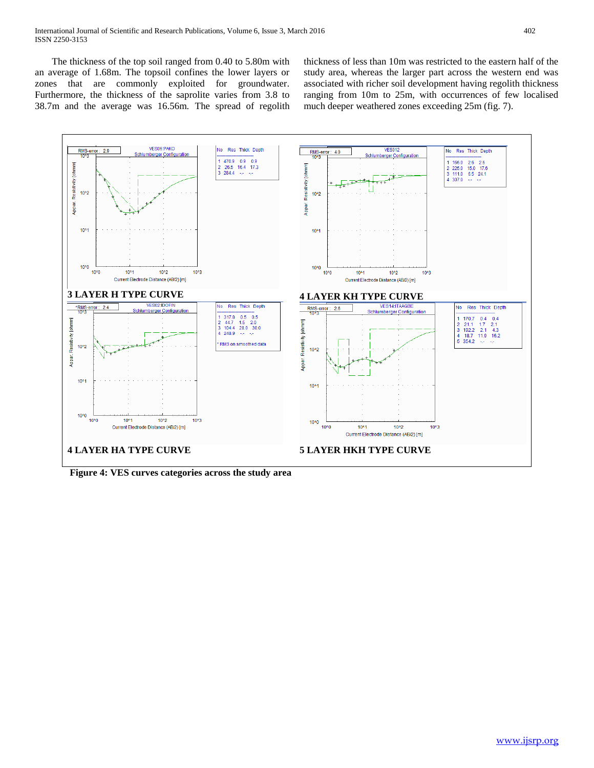The thickness of the top soil ranged from 0.40 to 5.80m with an average of 1.68m. The topsoil confines the lower layers or zones that are commonly exploited for groundwater. Furthermore, the thickness of the saprolite varies from 3.8 to 38.7m and the average was 16.56m. The spread of regolith thickness of less than 10m was restricted to the eastern half of the study area, whereas the larger part across the western end was associated with richer soil development having regolith thickness ranging from 10m to 25m, with occurrences of few localised much deeper weathered zones exceeding 25m (fig. 7).



**Figure 4: VES curves categories across the study area**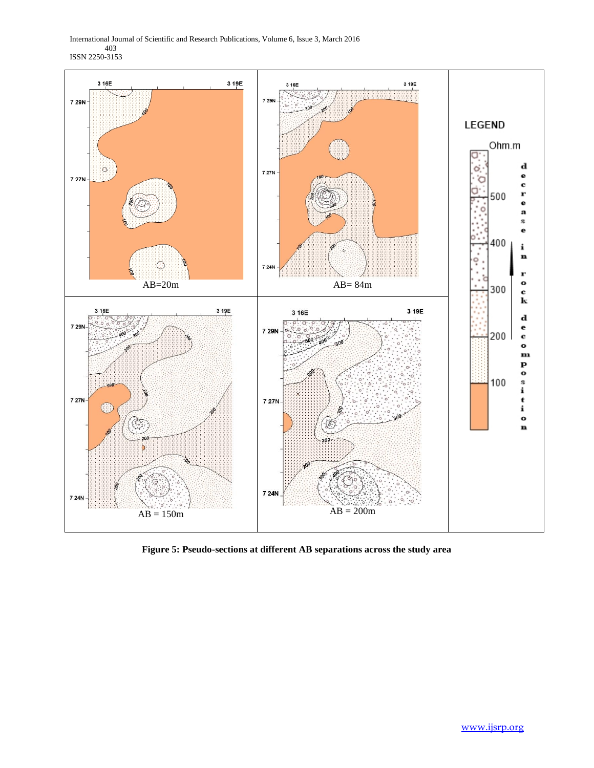International Journal of Scientific and Research Publications, Volume 6, Issue 3, March 2016 403 ISSN 2250-3153



**Figure 5: Pseudo-sections at different AB separations across the study area**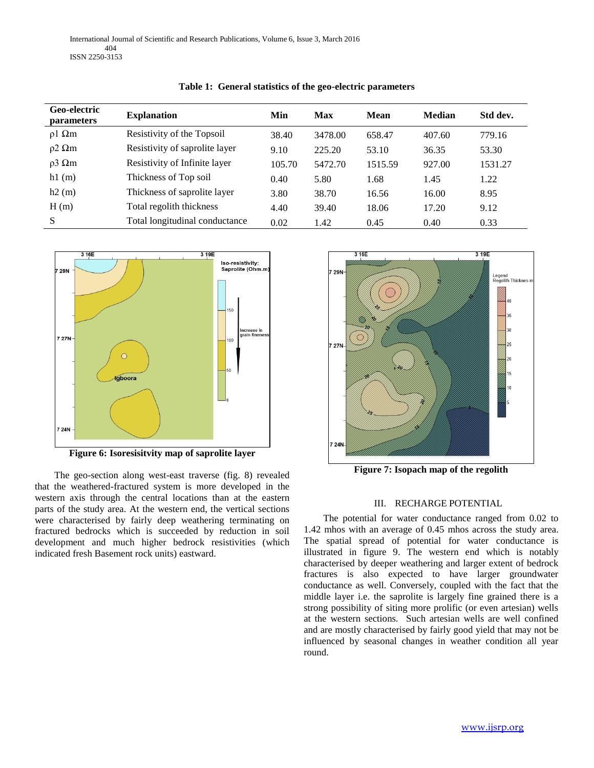| <b>Geo-electric</b><br><i>parameters</i> | <b>Explanation</b>             | Min    | <b>Max</b> | Mean    | <b>Median</b> | Std dev. |
|------------------------------------------|--------------------------------|--------|------------|---------|---------------|----------|
| $\rho$ 1 $\Omega$ m                      | Resistivity of the Topsoil     | 38.40  | 3478.00    | 658.47  | 407.60        | 779.16   |
| $\rho$ 2 $\Omega$ m                      | Resistivity of saprolite layer | 9.10   | 225.20     | 53.10   | 36.35         | 53.30    |
| $\rho$ 3 $\Omega$ m                      | Resistivity of Infinite layer  | 105.70 | 5472.70    | 1515.59 | 927.00        | 1531.27  |
| h1(m)                                    | Thickness of Top soil          | 0.40   | 5.80       | 1.68    | 1.45          | 1.22     |
| h2(m)                                    | Thickness of saprolite layer   | 3.80   | 38.70      | 16.56   | 16.00         | 8.95     |
| H(m)                                     | Total regolith thickness       | 4.40   | 39.40      | 18.06   | 17.20         | 9.12     |
| S                                        | Total longitudinal conductance | 0.02   | 1.42       | 0.45    | 0.40          | 0.33     |





**Figure 6: Isoresisitvity map of saprolite layer**

 The geo-section along west-east traverse (fig. 8) revealed that the weathered-fractured system is more developed in the western axis through the central locations than at the eastern parts of the study area. At the western end, the vertical sections were characterised by fairly deep weathering terminating on fractured bedrocks which is succeeded by reduction in soil development and much higher bedrock resistivities (which indicated fresh Basement rock units) eastward.



**Figure 7: Isopach map of the regolith**

# III. RECHARGE POTENTIAL

 The potential for water conductance ranged from 0.02 to 1.42 mhos with an average of 0.45 mhos across the study area. The spatial spread of potential for water conductance is illustrated in figure 9. The western end which is notably characterised by deeper weathering and larger extent of bedrock fractures is also expected to have larger groundwater conductance as well. Conversely, coupled with the fact that the middle layer i.e. the saprolite is largely fine grained there is a strong possibility of siting more prolific (or even artesian) wells at the western sections. Such artesian wells are well confined and are mostly characterised by fairly good yield that may not be influenced by seasonal changes in weather condition all year round.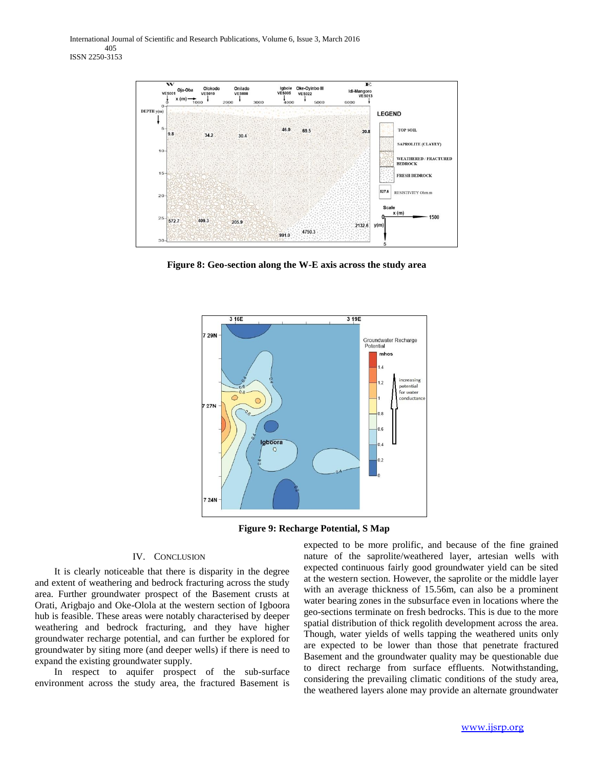

**Figure 8: Geo-section along the W-E axis across the study area**



**Figure 9: Recharge Potential, S Map**

#### IV. CONCLUSION

 It is clearly noticeable that there is disparity in the degree and extent of weathering and bedrock fracturing across the study area. Further groundwater prospect of the Basement crusts at Orati, Arigbajo and Oke-Olola at the western section of Igboora hub is feasible. These areas were notably characterised by deeper weathering and bedrock fracturing, and they have higher groundwater recharge potential, and can further be explored for groundwater by siting more (and deeper wells) if there is need to expand the existing groundwater supply.

 In respect to aquifer prospect of the sub-surface environment across the study area, the fractured Basement is

expected to be more prolific, and because of the fine grained nature of the saprolite/weathered layer, artesian wells with expected continuous fairly good groundwater yield can be sited at the western section. However, the saprolite or the middle layer with an average thickness of 15.56m, can also be a prominent water bearing zones in the subsurface even in locations where the geo-sections terminate on fresh bedrocks. This is due to the more spatial distribution of thick regolith development across the area. Though, water yields of wells tapping the weathered units only are expected to be lower than those that penetrate fractured Basement and the groundwater quality may be questionable due to direct recharge from surface effluents. Notwithstanding, considering the prevailing climatic conditions of the study area, the weathered layers alone may provide an alternate groundwater